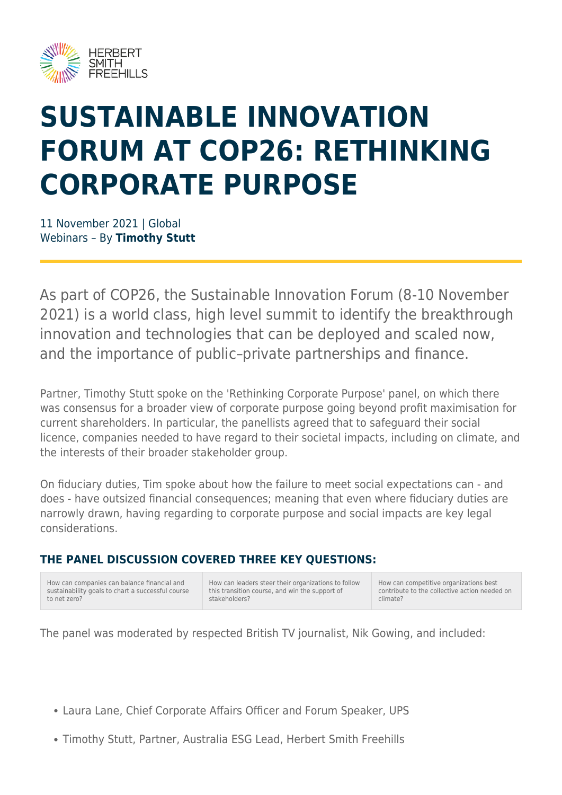

# **SUSTAINABLE INNOVATION FORUM AT COP26: RETHINKING CORPORATE PURPOSE**

11 November 2021 | Global Webinars – By **Timothy Stutt**

As part of COP26, the Sustainable Innovation Forum (8-10 November 2021) is a world class, high level summit to identify the breakthrough innovation and technologies that can be deployed and scaled now, and the importance of public–private partnerships and finance.

Partner, Timothy Stutt spoke on the 'Rethinking Corporate Purpose' panel, on which there was consensus for a broader view of corporate purpose going beyond profit maximisation for current shareholders. In particular, the panellists agreed that to safeguard their social licence, companies needed to have regard to their societal impacts, including on climate, and the interests of their broader stakeholder group.

On fiduciary duties, Tim spoke about how the failure to meet social expectations can - and does - have outsized financial consequences; meaning that even where fiduciary duties are narrowly drawn, having regarding to corporate purpose and social impacts are key legal considerations.

#### **THE PANEL DISCUSSION COVERED THREE KEY QUESTIONS:**

| How can companies can balance financial and       |
|---------------------------------------------------|
| sustainability goals to chart a successful course |
| to net zero?                                      |

How can leaders steer their organizations to follow this transition course, and win the support of stakeholders?

How can competitive organizations best contribute to the collective action needed on climate?

The panel was moderated by respected British TV journalist, Nik Gowing, and included:

- Laura Lane, Chief Corporate Affairs Officer and Forum Speaker, UPS
- Timothy Stutt, Partner, Australia ESG Lead, Herbert Smith Freehills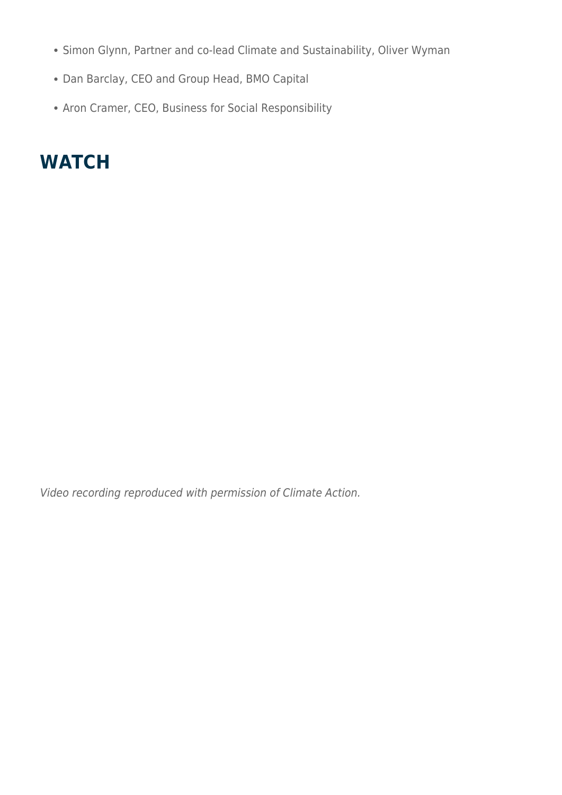- Simon Glynn, Partner and co-lead Climate and Sustainability, Oliver Wyman
- Dan Barclay, CEO and Group Head, BMO Capital
- Aron Cramer, CEO, Business for Social Responsibility

### **WATCH**

Video recording reproduced with permission of Climate Action.